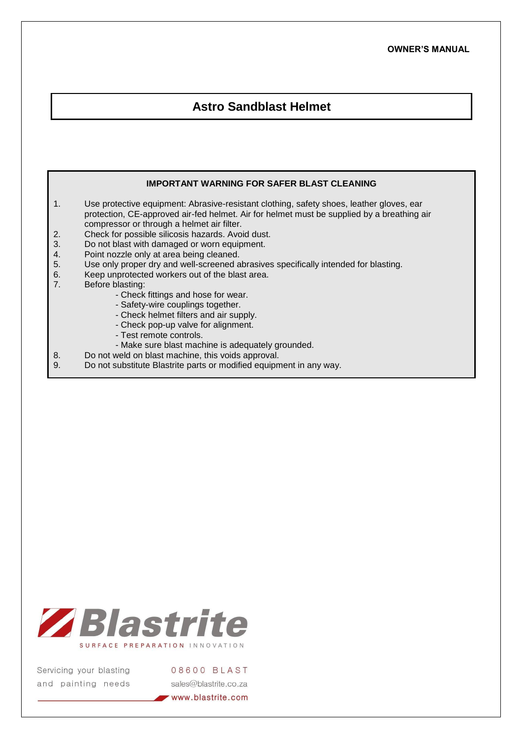## **Astro Sandblast Helmet**

## **IMPORTANT WARNING FOR SAFER BLAST CLEANING**

- 1. Use protective equipment: Abrasive-resistant clothing, safety shoes, leather gloves, ear protection, CE-approved air-fed helmet. Air for helmet must be supplied by a breathing air compressor or through a helmet air filter.
- 2. Check for possible silicosis hazards. Avoid dust.<br>3. Do not blast with damaged or worn equipment.
- 3. Do not blast with damaged or worn equipment.<br>4. Point nozzle only at area being cleaned.
- 4. Point nozzle only at area being cleaned.<br>5. Use only proper dry and well-screened a
- 5. Use only proper dry and well-screened abrasives specifically intended for blasting.
- 6. Keep unprotected workers out of the blast area.<br>7. Before blasting:
- Before blasting:
	- Check fittings and hose for wear.
	- Safety-wire couplings together.
	- Check helmet filters and air supply.
	- Check pop-up valve for alignment.
	- Test remote controls.
	- Make sure blast machine is adequately grounded.
- 8. Do not weld on blast machine, this voids approval.<br>9. Do not substitute Blastrite parts or modified equipm
- Do not substitute Blastrite parts or modified equipment in any way.



Servicing your blasting and painting needs

08600 BLAST sales@blastrite.co.za www.blastrite.com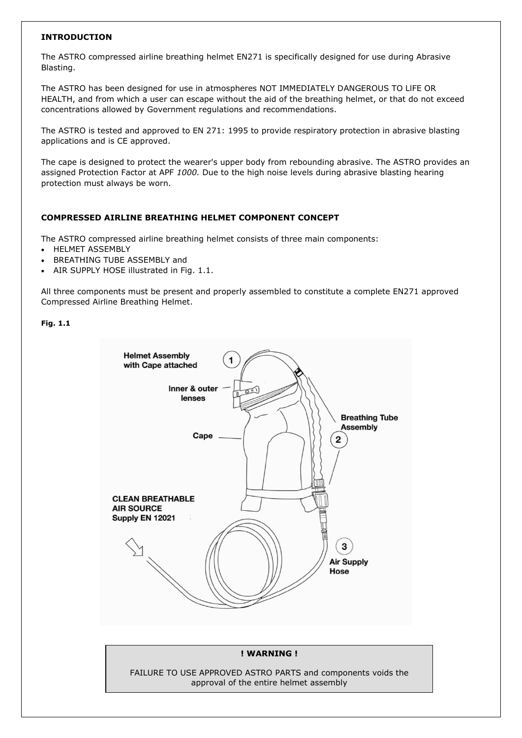#### **INTRODUCTION**

The ASTRO compressed airline breathing helmet EN271 is specifically designed for use during Abrasive Blasting.

The ASTRO has been designed for use in atmospheres NOT IMMEDIATELY DANGEROUS TO LlFE OR HEALTH, and from which a user can escape without the aid of the breathing helmet, or that do not exceed concentrations allowed by Government regulations and recommendations.

The ASTRO is tested and approved to EN 271: 1995 to provide respiratory protection in abrasive blasting applications and is CE approved.

The cape is designed to protect the wearer's upper body from rebounding abrasive. The ASTRO provides an assigned Protection Factor at APF *1000.* Due to the high noise levels during abrasive blasting hearing protection must always be worn.

## **COMPRESSED AIRLINE BREATHING HELMET COMPONENT CONCEPT**

The ASTRO compressed airline breathing helmet consists of three main components:

- HELMET ASSEMBLY
- BREATHING TUBE ASSEMBLY and
- AIR SUPPLY HOSE illustrated in Fig. 1.1.

All three components must be present and properly assembled to constitute a complete EN271 approved Compressed Airline Breathing Helmet.

#### **Fig. 1.1**



#### **! WARNING !**

FAILURE TO USE APPROVED ASTRO PARTS and components voids the approval of the entire helmet assembly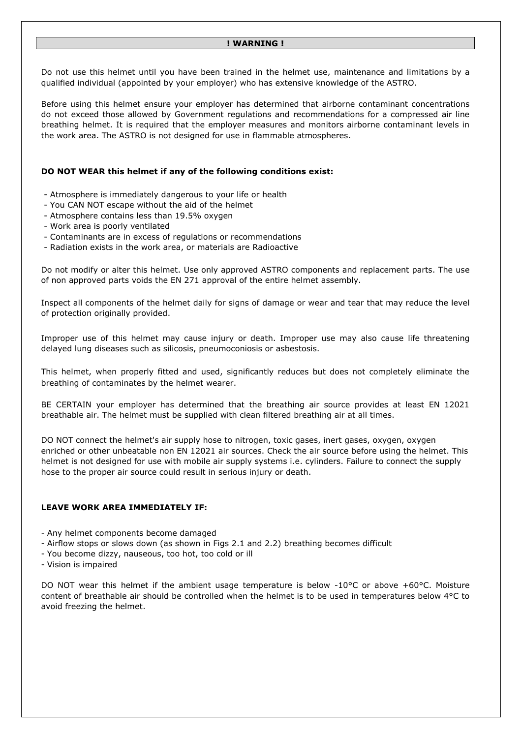#### **! WARNING !**

Do not use this helmet until you have been trained in the helmet use, maintenance and limitations by a qualified individual (appointed by your employer) who has extensive knowledge of the ASTRO.

Before using this helmet ensure your employer has determined that airborne contaminant concentrations do not exceed those allowed by Government regulations and recommendations for a compressed air line breathing helmet. It is required that the employer measures and monitors airborne contaminant levels in the work area. The ASTRO is not designed for use in flammable atmospheres.

#### **DO NOT WEAR this helmet if any of the following conditions exist:**

- Atmosphere is immediately dangerous to your life or health
- You CAN NOT escape without the aid of the helmet
- Atmosphere contains less than 19.5% oxygen
- Work area is poorly ventilated
- Contaminants are in excess of regulations or recommendations
- Radiation exists in the work area, or materials are Radioactive

Do not modify or alter this helmet. Use only approved ASTRO components and replacement parts. The use of non approved parts voids the EN 271 approval of the entire helmet assembly.

Inspect all components of the helmet daily for signs of damage or wear and tear that may reduce the level of protection originally provided.

Improper use of this helmet may cause injury or death. Improper use may also cause life threatening delayed lung diseases such as silicosis, pneumoconiosis or asbestosis.

This helmet, when properly fitted and used, significantly reduces but does not completely eliminate the breathing of contaminates by the helmet wearer.

BE CERTAIN your employer has determined that the breathing air source provides at least EN 12021 breathable air. The helmet must be supplied with clean filtered breathing air at all times.

DO NOT connect the helmet's air supply hose to nitrogen, toxic gases, inert gases, oxygen, oxygen enriched or other unbeatable non EN 12021 air sources. Check the air source before using the helmet. This helmet is not designed for use with mobile air supply systems i.e. cylinders. Failure to connect the supply hose to the proper air source could result in serious injury or death.

#### **LEAVE WORK AREA IMMEDIATELY IF:**

- Any helmet components become damaged

- Airflow stops or slows down (as shown in Figs 2.1 and 2.2) breathing becomes difficult
- You become dizzy, nauseous, too hot, too cold or ill
- Vision is impaired

DO NOT wear this helmet if the ambient usage temperature is below -10°C or above +60°C. Moisture content of breathable air should be controlled when the helmet is to be used in temperatures below 4°C to avoid freezing the helmet.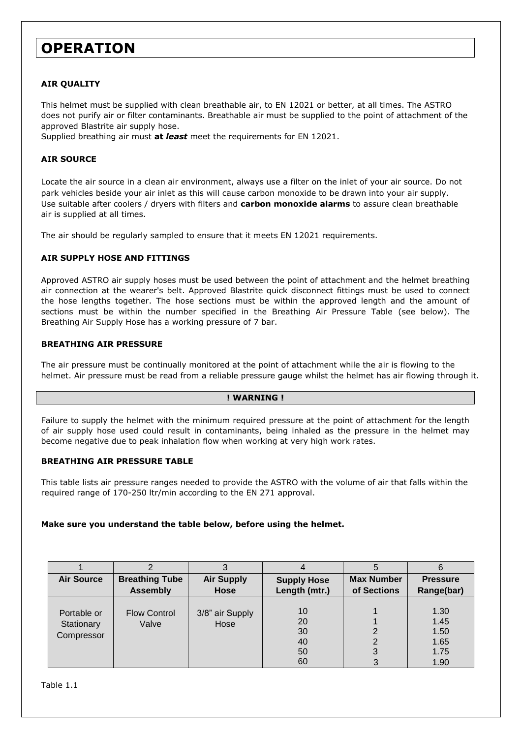# **OPERATION**

## **AIR QUALITY**

This helmet must be supplied with clean breathable air, to EN 12021 or better, at all times. The ASTRO does not purify air or filter contaminants. Breathable air must be supplied to the point of attachment of the approved Blastrite air supply hose.

Supplied breathing air must **at** *least* meet the requirements for EN 12021.

#### **AIR SOURCE**

Locate the air source in a clean air environment, always use a filter on the inlet of your air source. Do not park vehicles beside your air inlet as this will cause carbon monoxide to be drawn into your air supply. Use suitable after coolers / dryers with filters and **carbon monoxide alarms** to assure clean breathable air is supplied at all times.

The air should be regularly sampled to ensure that it meets EN 12021 requirements.

#### **AIR SUPPLY HOSE AND FITTINGS**

Approved ASTRO air supply hoses must be used between the point of attachment and the helmet breathing air connection at the wearer's belt. Approved Blastrite quick disconnect fittings must be used to connect the hose lengths together. The hose sections must be within the approved length and the amount of sections must be within the number specified in the Breathing Air Pressure Table (see below). The Breathing Air Supply Hose has a working pressure of 7 bar.

#### **BREATHING AIR PRESSURE**

The air pressure must be continually monitored at the point of attachment while the air is flowing to the helmet. Air pressure must be read from a reliable pressure gauge whilst the helmet has air flowing through it.

#### **! WARNING !**

Failure to supply the helmet with the minimum required pressure at the point of attachment for the length of air supply hose used could result in contaminants, being inhaled as the pressure in the helmet may become negative due to peak inhalation flow when working at very high work rates.

#### **BREATHING AIR PRESSURE TABLE**

This table lists air pressure ranges needed to provide the ASTRO with the volume of air that falls within the required range of 170-250 ltr/min according to the EN 271 approval.

#### **Make sure you understand the table below, before using the helmet.**

|                                         |                                          |                                  |                                     | Э                                |                                              |
|-----------------------------------------|------------------------------------------|----------------------------------|-------------------------------------|----------------------------------|----------------------------------------------|
| <b>Air Source</b>                       | <b>Breathing Tube</b><br><b>Assembly</b> | <b>Air Supply</b><br><b>Hose</b> | <b>Supply Hose</b><br>Length (mtr.) | <b>Max Number</b><br>of Sections | <b>Pressure</b><br>Range(bar)                |
| Portable or<br>Stationary<br>Compressor | <b>Flow Control</b><br>Valve             | 3/8" air Supply<br>Hose          | 10<br>20<br>30<br>40<br>50<br>60    |                                  | 1.30<br>1.45<br>1.50<br>1.65<br>1.75<br>1.90 |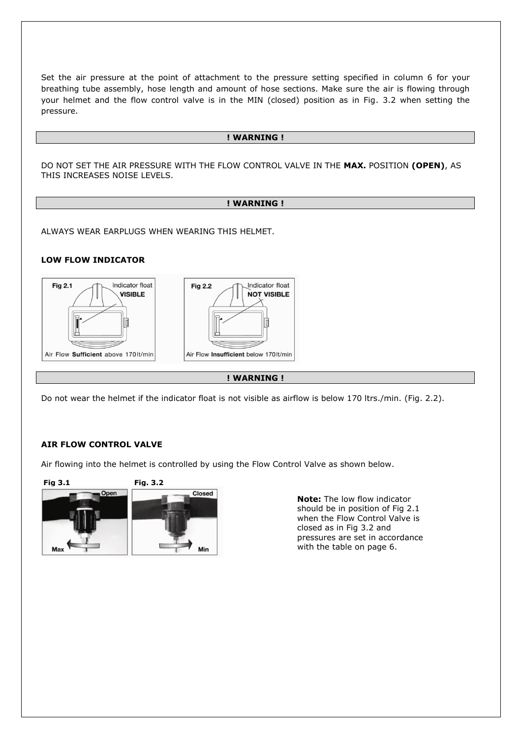Set the air pressure at the point of attachment to the pressure setting specified in column 6 for your breathing tube assembly, hose length and amount of hose sections. Make sure the air is flowing through your helmet and the flow control valve is in the MIN (closed) position as in Fig. 3.2 when setting the pressure.

#### **! WARNING !**

DO NOT SET THE AIR PRESSURE WITH THE FLOW CONTROL VALVE IN THE **MAX.** POSITION **(OPEN)**, AS THIS INCREASES NOISE LEVELS.

#### **! WARNING !**

ALWAYS WEAR EARPLUGS WHEN WEARING THIS HELMET.

#### **LOW FLOW INDICATOR**



**! WARNING !**

Do not wear the helmet if the indicator float is not visible as airflow is below 170 ltrs./min. (Fig. 2.2).

#### **AIR FLOW CONTROL VALVE**

Air flowing into the helmet is controlled by using the Flow Control Valve as shown below.



**Note:** The low flow indicator should be in position of Fig 2.1 when the Flow Control Valve is closed as in Fig 3.2 and pressures are set in accordance with the table on page 6.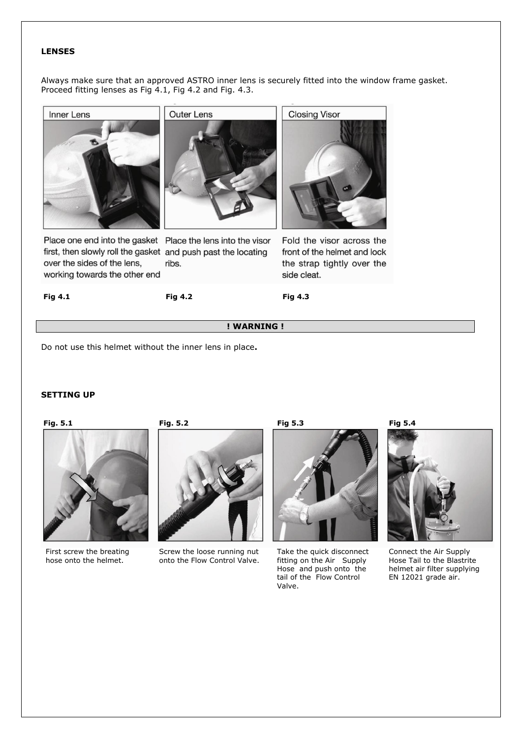#### **LENSES**

Always make sure that an approved ASTRO inner lens is securely fitted into the window frame gasket. Proceed fitting lenses as Fig 4.1, Fig 4.2 and Fig. 4.3.





first, then slowly roll the gasket and push past the locating over the sides of the lens, working towards the other end

Place one end into the gasket Place the lens into the visor ribs.



**Closing Visor** 

Fold the visor across the front of the helmet and lock the strap tightly over the side cleat.

**Fig 4.1 Fig 4.2 Fig 4.3**

## **! WARNING !**

Do not use this helmet without the inner lens in place**.**

## **SETTING UP**



First screw the breating hose onto the helmet.



Screw the loose running nut onto the Flow Control Valve.



Take the quick disconnect fitting on the Air Supply Hose and push onto the tail of the Flow Control Valve.



Connect the Air Supply Hose Tail to the Blastrite helmet air filter supplying EN 12021 grade air.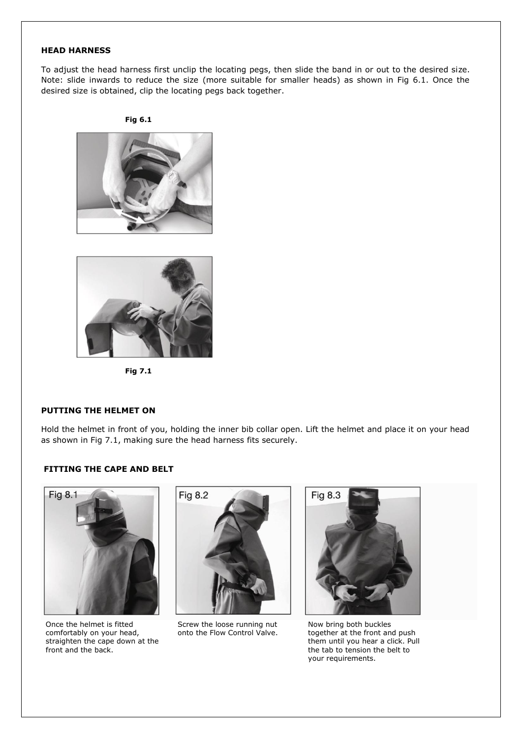#### **HEAD HARNESS**

To adjust the head harness first unclip the locating pegs, then slide the band in or out to the desired size. Note: slide inwards to reduce the size (more suitable for smaller heads) as shown in Fig 6.1. Once the desired size is obtained, clip the locating pegs back together.







**Fig 7.1**

#### **PUTTING THE HELMET ON**

Hold the helmet in front of you, holding the inner bib collar open. Lift the helmet and place it on your head as shown in Fig 7.1, making sure the head harness fits securely.

#### **FITTING THE CAPE AND BELT**



Once the helmet is fitted comfortably on your head, straighten the cape down at the front and the back.



Screw the loose running nut onto the Flow Control Valve.



Now bring both buckles together at the front and push them until you hear a click. Pull the tab to tension the belt to your requirements.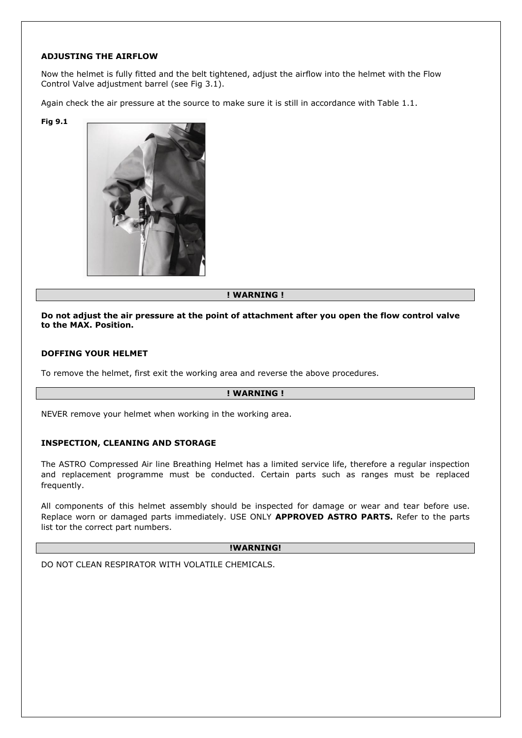#### **ADJUSTING THE AIRFLOW**

Now the helmet is fully fitted and the belt tightened, adjust the airflow into the helmet with the Flow Control Valve adjustment barrel (see Fig 3.1).

Again check the air pressure at the source to make sure it is still in accordance with Table 1.1.

**Fig 9.1**



## **! WARNING !**

#### **Do not adjust the air pressure at the point of attachment after you open the flow control valve to the MAX. Position.**

#### **DOFFING YOUR HELMET**

To remove the helmet, first exit the working area and reverse the above procedures.

#### **! WARNING !**

NEVER remove your helmet when working in the working area.

#### **INSPECTION, CLEANING AND STORAGE**

The ASTRO Compressed Air line Breathing Helmet has a limited service life, therefore a regular inspection and replacement programme must be conducted. Certain parts such as ranges must be replaced frequently.

All components of this helmet assembly should be inspected for damage or wear and tear before use. Replace worn or damaged parts immediately. USE ONLY **APPROVED ASTRO PARTS.** Refer to the parts list tor the correct part numbers.

#### **!WARNING!**

DO NOT CLEAN RESPIRATOR WITH VOLATILE CHEMICALS.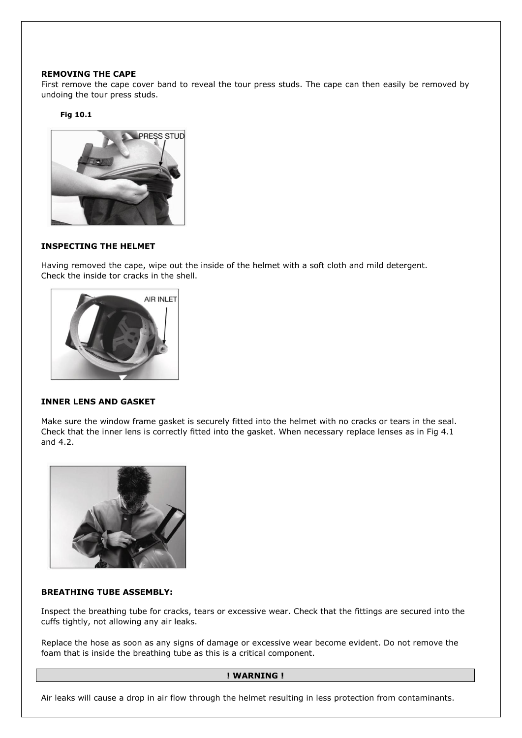#### **REMOVING THE CAPE**

First remove the cape cover band to reveal the tour press studs. The cape can then easily be removed by undoing the tour press studs.

#### **Fig 10.1**



## **INSPECTING THE HELMET**

Having removed the cape, wipe out the inside of the helmet with a soft cloth and mild detergent. Check the inside tor cracks in the shell.



#### **INNER LENS AND GASKET**

Make sure the window frame gasket is securely fitted into the helmet with no cracks or tears in the seal. Check that the inner lens is correctly fitted into the gasket. When necessary replace lenses as in Fig 4.1 and 4.2.



## **BREATHING TUBE ASSEMBLY:**

Inspect the breathing tube for cracks, tears or excessive wear. Check that the fittings are secured into the cuffs tightly, not allowing any air leaks.

Replace the hose as soon as any signs of damage or excessive wear become evident. Do not remove the foam that is inside the breathing tube as this is a critical component.

#### **! WARNING !**

Air leaks will cause a drop in air flow through the helmet resulting in less protection from contaminants.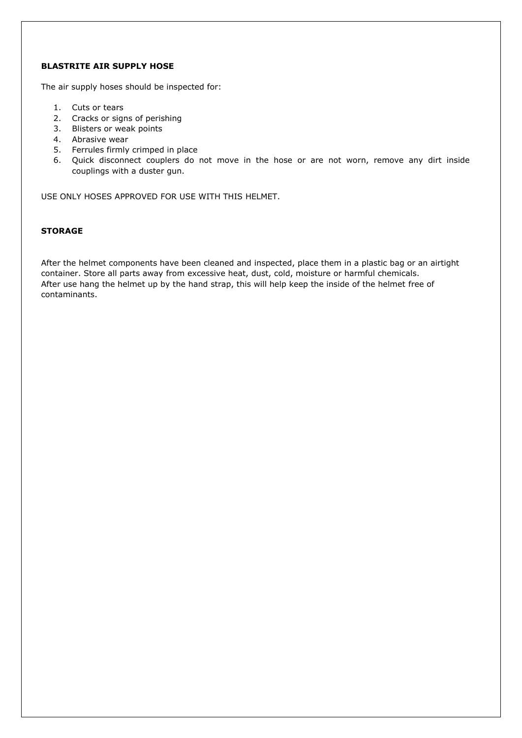## **BLASTRITE AIR SUPPLY HOSE**

The air supply hoses should be inspected for:

- 1. Cuts or tears
- 2. Cracks or signs of perishing
- 3. Blisters or weak points
- 4. Abrasive wear
- 5. Ferrules firmly crimped in place
- 6. Quick disconnect couplers do not move in the hose or are not worn, remove any dirt inside couplings with a duster gun.

USE ONLY HOSES APPROVED FOR USE WITH THIS HELMET.

#### **STORAGE**

After the helmet components have been cleaned and inspected, place them in a plastic bag or an airtight container. Store all parts away from excessive heat, dust, cold, moisture or harmful chemicals. After use hang the helmet up by the hand strap, this will help keep the inside of the helmet free of contaminants.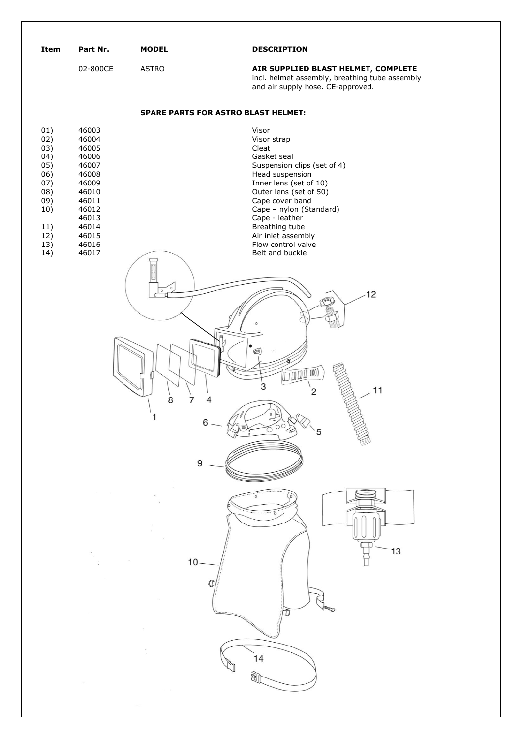| Item                                                                                           | Part Nr.                                                                                                                            | <b>MODEL</b>          | <b>DESCRIPTION</b>                                                                                                                                                                                                                                                                                  |
|------------------------------------------------------------------------------------------------|-------------------------------------------------------------------------------------------------------------------------------------|-----------------------|-----------------------------------------------------------------------------------------------------------------------------------------------------------------------------------------------------------------------------------------------------------------------------------------------------|
|                                                                                                | 02-800CE                                                                                                                            | <b>ASTRO</b>          | AIR SUPPLIED BLAST HELMET, COMPLETE<br>incl. helmet assembly, breathing tube assembly<br>and air supply hose. CE-approved.                                                                                                                                                                          |
|                                                                                                |                                                                                                                                     |                       | <b>SPARE PARTS FOR ASTRO BLAST HELMET:</b>                                                                                                                                                                                                                                                          |
| 01)<br>02)<br>03)<br>04)<br>05)<br>06)<br>07)<br>08)<br>09)<br>10)<br>11)<br>12)<br>13)<br>14) | 46003<br>46004<br>46005<br>46006<br>46007<br>46008<br>46009<br>46010<br>46011<br>46012<br>46013<br>46014<br>46015<br>46016<br>46017 |                       | Visor<br>Visor strap<br>Cleat<br>Gasket seal<br>Suspension clips (set of 4)<br>Head suspension<br>Inner lens (set of 10)<br>Outer lens (set of 50)<br>Cape cover band<br>Cape - nylon (Standard)<br>Cape - leather<br>Breathing tube<br>Air inlet assembly<br>Flow control valve<br>Belt and buckle |
|                                                                                                |                                                                                                                                     |                       | 12                                                                                                                                                                                                                                                                                                  |
|                                                                                                |                                                                                                                                     | 8<br>7<br>4<br>ı<br>6 | ග<br>$\overline{\ln(\ln(\ln(\frac{1}{2})))}$<br>3<br>11<br>2                                                                                                                                                                                                                                        |
|                                                                                                |                                                                                                                                     | 9                     |                                                                                                                                                                                                                                                                                                     |
|                                                                                                |                                                                                                                                     |                       | 13                                                                                                                                                                                                                                                                                                  |
|                                                                                                |                                                                                                                                     | 10                    |                                                                                                                                                                                                                                                                                                     |
|                                                                                                |                                                                                                                                     |                       | 14                                                                                                                                                                                                                                                                                                  |